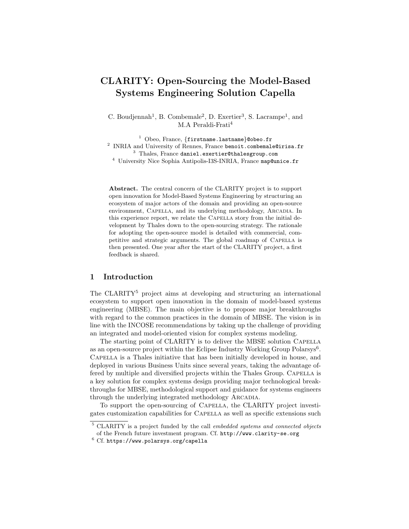# CLARITY: Open-Sourcing the Model-Based Systems Engineering Solution Capella

C. Boudjennah<sup>1</sup>, B. Combemale<sup>2</sup>, D. Exertier<sup>3</sup>, S. Lacrampe<sup>1</sup>, and M.A Peraldi-Frati<sup>4</sup>

<sup>1</sup> Obeo, France, {firstname.lastname}@obeo.fr  $^{2}$  INRIA and University of Rennes, France benoit.combemale@irisa.fr <sup>3</sup> Thales, France daniel.exertier@thalesgroup.com <sup>4</sup> University Nice Sophia Antipolis-I3S-INRIA, France map@unice.fr

Abstract. The central concern of the CLARITY project is to support open innovation for Model-Based Systems Engineering by structuring an ecosystem of major actors of the domain and providing an open-source environment, CAPELLA, and its underlying methodology, ARCADIA. In this experience report, we relate the CAPELLA story from the initial development by Thales down to the open-sourcing strategy. The rationale for adopting the open-source model is detailed with commercial, competitive and strategic arguments. The global roadmap of CAPELLA is then presented. One year after the start of the CLARITY project, a first feedback is shared.

## 1 Introduction

The CLARITY<sup>5</sup> project aims at developing and structuring an international ecosystem to support open innovation in the domain of model-based systems engineering (MBSE). The main objective is to propose major breakthroughs with regard to the common practices in the domain of MBSE. The vision is in line with the INCOSE recommendations by taking up the challenge of providing an integrated and model-oriented vision for complex systems modeling.

The starting point of CLARITY is to deliver the MBSE solution CAPELLA as an open-source project within the Eclipse Industry Working Group Polarsys<sup>6</sup>. Capella is a Thales initiative that has been initially developed in house, and deployed in various Business Units since several years, taking the advantage offered by multiple and diversified projects within the Thales Group. CAPELLA is a key solution for complex systems design providing major technological breakthroughs for MBSE, methodological support and guidance for systems engineers through the underlying integrated methodology ARCADIA.

To support the open-sourcing of Capella, the CLARITY project investigates customization capabilities for Capella as well as specific extensions such

<sup>&</sup>lt;sup>5</sup> CLARITY is a project funded by the call *embedded systems and connected objects* of the French future investment program. Cf. http://www.clarity-se.org

 $6$  Cf. https://www.polarsys.org/capella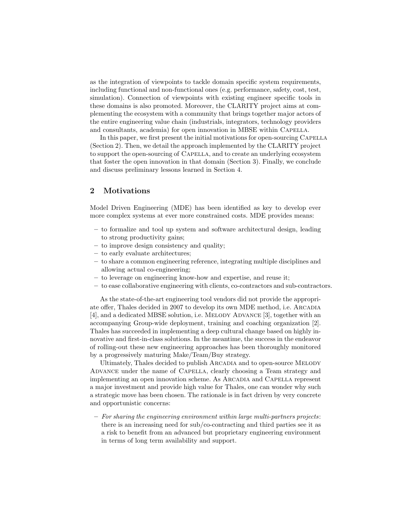as the integration of viewpoints to tackle domain specific system requirements, including functional and non-functional ones (e.g. performance, safety, cost, test, simulation). Connection of viewpoints with existing engineer specific tools in these domains is also promoted. Moreover, the CLARITY project aims at complementing the ecosystem with a community that brings together major actors of the entire engineering value chain (industrials, integrators, technology providers and consultants, academia) for open innovation in MBSE within CAPELLA.

In this paper, we first present the initial motivations for open-sourcing CAPELLA (Section 2). Then, we detail the approach implemented by the CLARITY project to support the open-sourcing of Capella, and to create an underlying ecosystem that foster the open innovation in that domain (Section 3). Finally, we conclude and discuss preliminary lessons learned in Section 4.

# 2 Motivations

Model Driven Engineering (MDE) has been identified as key to develop ever more complex systems at ever more constrained costs. MDE provides means:

- to formalize and tool up system and software architectural design, leading to strong productivity gains;
- to improve design consistency and quality;
- to early evaluate architectures;
- to share a common engineering reference, integrating multiple disciplines and allowing actual co-engineering;
- to leverage on engineering know-how and expertise, and reuse it;
- to ease collaborative engineering with clients, co-contractors and sub-contractors.

As the state-of-the-art engineering tool vendors did not provide the appropriate offer, Thales decided in 2007 to develop its own MDE method, i.e. Arcadia [4], and a dedicated MBSE solution, i.e. MELODY ADVANCE [3], together with an accompanying Group-wide deployment, training and coaching organization [2]. Thales has succeeded in implementing a deep cultural change based on highly innovative and first-in-class solutions. In the meantime, the success in the endeavor of rolling-out these new engineering approaches has been thoroughly monitored by a progressively maturing Make/Team/Buy strategy.

Ultimately, Thales decided to publish ARCADIA and to open-source MELODY ADVANCE under the name of CAPELLA, clearly choosing a Team strategy and implementing an open innovation scheme. As Arcadia and Capella represent a major investment and provide high value for Thales, one can wonder why such a strategic move has been chosen. The rationale is in fact driven by very concrete and opportunistic concerns:

 $-$  For sharing the engineering environment within large multi-partners projects: there is an increasing need for sub/co-contracting and third parties see it as a risk to benefit from an advanced but proprietary engineering environment in terms of long term availability and support.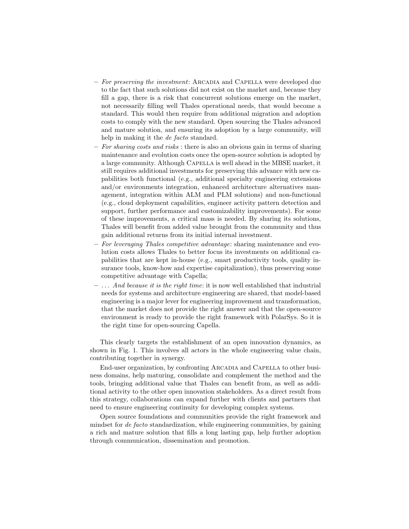- $-$  For preserving the investment: ARCADIA and CAPELLA were developed due to the fact that such solutions did not exist on the market and, because they fill a gap, there is a risk that concurrent solutions emerge on the market, not necessarily filling well Thales operational needs, that would become a standard. This would then require from additional migration and adoption costs to comply with the new standard. Open sourcing the Thales advanced and mature solution, and ensuring its adoption by a large community, will help in making it the *de facto* standard.
- For sharing costs and risks : there is also an obvious gain in terms of sharing maintenance and evolution costs once the open-source solution is adopted by a large community. Although Capella is well ahead in the MBSE market, it still requires additional investments for preserving this advance with new capabilities both functional (e.g., additional specialty engineering extensions and/or environments integration, enhanced architecture alternatives management, integration within ALM and PLM solutions) and non-functional (e.g., cloud deployment capabilities, engineer activity pattern detection and support, further performance and customizability improvements). For some of these improvements, a critical mass is needed. By sharing its solutions, Thales will benefit from added value brought from the community and thus gain additional returns from its initial internal investment.
- For leveraging Thales competitive advantage: sharing maintenance and evolution costs allows Thales to better focus its investments on additional capabilities that are kept in-house (e.g., smart productivity tools, quality insurance tools, know-how and expertise capitalization), thus preserving some competitive advantage with Capella;
- $-$ ... And because it is the right time: it is now well established that industrial needs for systems and architecture engineering are shared, that model-based engineering is a major lever for engineering improvement and transformation, that the market does not provide the right answer and that the open-source environment is ready to provide the right framework with PolarSys. So it is the right time for open-sourcing Capella.

This clearly targets the establishment of an open innovation dynamics, as shown in Fig. 1. This involves all actors in the whole engineering value chain, contributing together in synergy.

End-user organization, by confronting ARCADIA and CAPELLA to other business domains, help maturing, consolidate and complement the method and the tools, bringing additional value that Thales can benefit from, as well as additional activity to the other open innovation stakeholders. As a direct result from this strategy, collaborations can expand further with clients and partners that need to ensure engineering continuity for developing complex systems.

Open source foundations and communities provide the right framework and mindset for de facto standardization, while engineering communities, by gaining a rich and mature solution that fills a long lasting gap, help further adoption through communication, dissemination and promotion.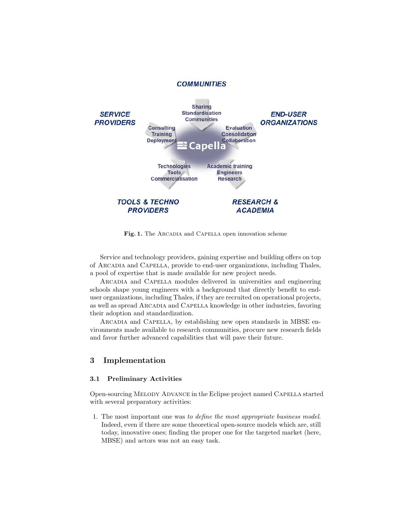

Fig. 1. The ARCADIA and CAPELLA open innovation scheme

Service and technology providers, gaining expertise and building offers on top of Arcadia and Capella, provide to end-user organizations, including Thales, a pool of expertise that is made available for new project needs.

Arcadia and Capella modules delivered in universities and engineering schools shape young engineers with a background that directly benefit to enduser organizations, including Thales, if they are recruited on operational projects, as well as spread ARCADIA and CAPELLA knowledge in other industries, favoring their adoption and standardization.

Arcadia and Capella, by establishing new open standards in MBSE environments made available to research communities, procure new research fields and favor further advanced capabilities that will pave their future.

## 3 Implementation

### 3.1 Preliminary Activities

Open-sourcing Melody Advance in the Eclipse project named Capella started with several preparatory activities:

1. The most important one was to define the most appropriate business model. Indeed, even if there are some theoretical open-source models which are, still today, innovative ones; finding the proper one for the targeted market (here, MBSE) and actors was not an easy task.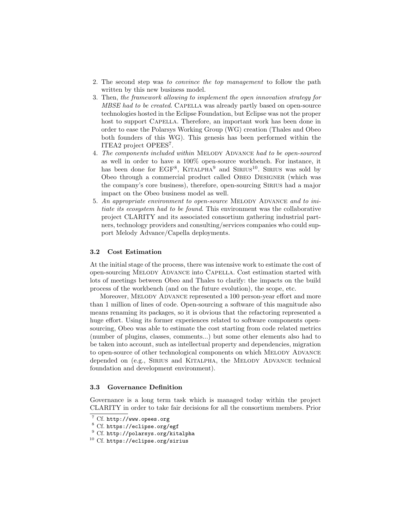- 2. The second step was to convince the top management to follow the path written by this new business model.
- 3. Then, the framework allowing to implement the open innovation strategy for MBSE had to be created. CAPELLA was already partly based on open-source technologies hosted in the Eclipse Foundation, but Eclipse was not the proper host to support CAPELLA. Therefore, an important work has been done in order to ease the Polarsys Working Group (WG) creation (Thales and Obeo both founders of this WG). This genesis has been performed within the ITEA2 project OPEES<sup>7</sup>.
- 4. The components included within MELODY ADVANCE had to be open-sourced as well in order to have a 100% open-source workbench. For instance, it has been done for EGF<sup>8</sup>, KITALPHA<sup>9</sup> and SIRIUS<sup>10</sup>. SIRIUS was sold by Obeo through a commercial product called Obeo Designer (which was the company's core business), therefore, open-sourcing Sirius had a major impact on the Obeo business model as well.
- 5. An appropriate environment to open-source MELODY ADVANCE and to initiate its ecosystem had to be found. This environment was the collaborative project CLARITY and its associated consortium gathering industrial partners, technology providers and consulting/services companies who could support Melody Advance/Capella deployments.

### 3.2 Cost Estimation

At the initial stage of the process, there was intensive work to estimate the cost of open-sourcing Melody Advance into Capella. Cost estimation started with lots of meetings between Obeo and Thales to clarify: the impacts on the build process of the workbench (and on the future evolution), the scope, etc.

Moreover, Melody Advance represented a 100 person-year effort and more than 1 million of lines of code. Open-sourcing a software of this magnitude also means renaming its packages, so it is obvious that the refactoring represented a huge effort. Using its former experiences related to software components opensourcing, Obeo was able to estimate the cost starting from code related metrics (number of plugins, classes, comments...) but some other elements also had to be taken into account, such as intellectual property and dependencies, migration to open-source of other technological components on which MELODY ADVANCE depended on (e.g., SIRIUS and KITALPHA, the MELODY ADVANCE technical foundation and development environment).

#### 3.3 Governance Definition

Governance is a long term task which is managed today within the project CLARITY in order to take fair decisions for all the consortium members. Prior

<sup>7</sup> Cf. http://www.opees.org

<sup>8</sup> Cf. https://eclipse.org/egf

<sup>9</sup> Cf. http://polarsys.org/kitalpha

 $10$  Cf. https://eclipse.org/sirius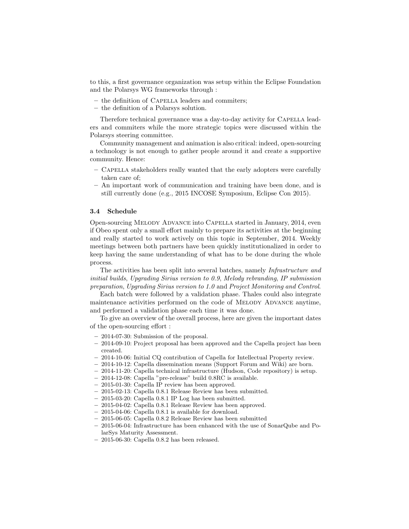to this, a first governance organization was setup within the Eclipse Foundation and the Polarsys WG frameworks through :

- the definition of Capella leaders and commiters;
- the definition of a Polarsys solution.

Therefore technical governance was a day-to-day activity for Capella leaders and commiters while the more strategic topics were discussed within the Polarsys steering committee.

Community management and animation is also critical: indeed, open-sourcing a technology is not enough to gather people around it and create a supportive community. Hence:

- Capella stakeholders really wanted that the early adopters were carefully taken care of;
- An important work of communication and training have been done, and is still currently done (e.g., 2015 INCOSE Symposium, Eclipse Con 2015).

#### 3.4 Schedule

Open-sourcing Melody Advance into Capella started in January, 2014, even if Obeo spent only a small effort mainly to prepare its activities at the beginning and really started to work actively on this topic in September, 2014. Weekly meetings between both partners have been quickly institutionalized in order to keep having the same understanding of what has to be done during the whole process.

The activities has been split into several batches, namely Infrastructure and initial builds, Upgrading Sirius version to 0.9, Melody rebranding, IP submission preparation, Upgrading Sirius version to 1.0 and Project Monitoring and Control.

Each batch were followed by a validation phase. Thales could also integrate maintenance activities performed on the code of Melody Advance anytime, and performed a validation phase each time it was done.

To give an overview of the overall process, here are given the important dates of the open-sourcing effort :

- 2014-07-30: Submission of the proposal.
- 2014-09-10: Project proposal has been approved and the Capella project has been created.
- 2014-10-06: Initial CQ contribution of Capella for Intellectual Property review.
- 2014-10-12: Capella dissemination means (Support Forum and Wiki) are born.
- 2014-11-20: Capella technical infrastructure (Hudson, Code repository) is setup.
- 2014-12-08: Capella "pre-release" build 0.8RC is available.
- 2015-01-30: Capella IP review has been approved.
- 2015-02-13: Capella 0.8.1 Release Review has been submitted.
- 2015-03-20: Capella 0.8.1 IP Log has been submitted.
- 2015-04-02: Capella 0.8.1 Release Review has been approved.
- 2015-04-06: Capella 0.8.1 is available for download.
- 2015-06-05: Capella 0.8.2 Release Review has been submitted
- 2015-06-04: Infrastructure has been enhanced with the use of SonarQube and PolarSys Maturity Assessment.
- 2015-06-30: Capella 0.8.2 has been released.